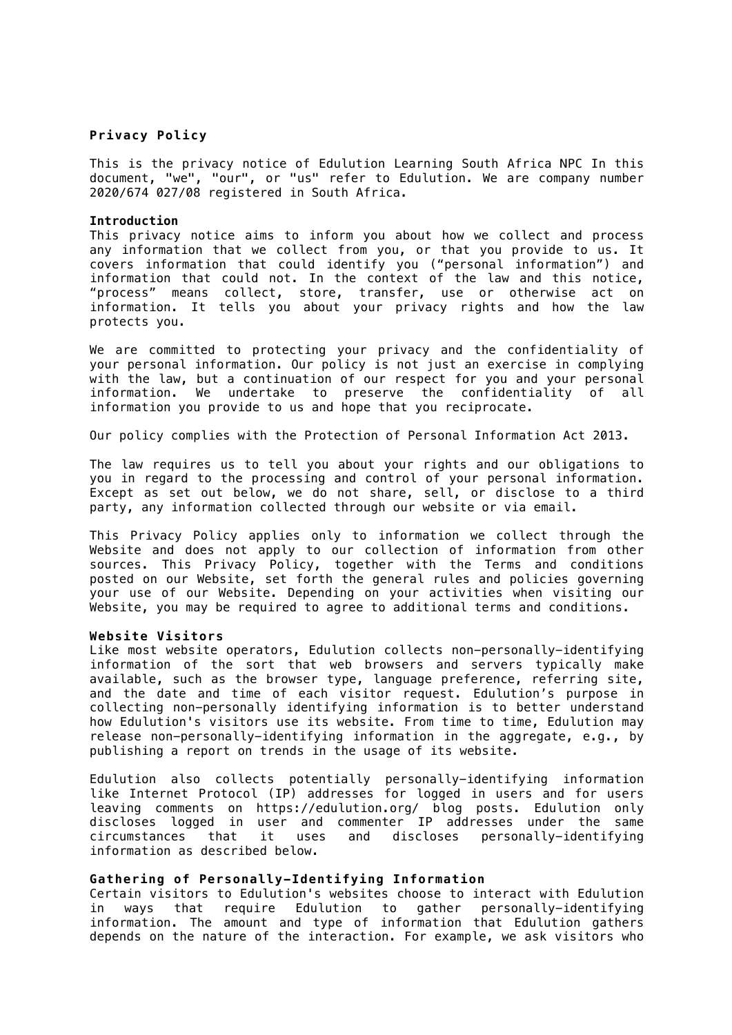## **Privacy Policy**

This is the privacy notice of Edulution Learning South Africa NPC In this document, "we", "our", or "us" refer to Edulution. We are company number 2020/674 027/08 registered in South Africa.

#### **Introduction**

This privacy notice aims to inform you about how we collect and process any information that we collect from you, or that you provide to us. It covers information that could identify you ("personal information") and information that could not. In the context of the law and this notice, "process" means collect, store, transfer, use or otherwise act on information. It tells you about your privacy rights and how the law protects you.

We are committed to protecting your privacy and the confidentiality of your personal information. Our policy is not just an exercise in complying with the law, but a continuation of our respect for you and your personal information. We undertake to preserve the confidentiality of all information you provide to us and hope that you reciprocate.

Our policy complies with the Protection of Personal Information Act 2013.

The law requires us to tell you about your rights and our obligations to you in regard to the processing and control of your personal information. Except as set out below, we do not share, sell, or disclose to a third party, any information collected through our website or via email.

This Privacy Policy applies only to information we collect through the Website and does not apply to our collection of information from other sources. This Privacy Policy, together with the Terms and conditions posted on our Website, set forth the general rules and policies governing your use of our Website. Depending on your activities when visiting our Website, you may be required to agree to additional terms and conditions.

### **Website Visitors**

Like most website operators, Edulution collects non-personally-identifying information of the sort that web browsers and servers typically make available, such as the browser type, language preference, referring site, and the date and time of each visitor request. Edulution's purpose in collecting non-personally identifying information is to better understand how Edulution's visitors use its website. From time to time, Edulution may release non-personally-identifying information in the aggregate, e.g., by publishing a report on trends in the usage of its website.

Edulution also collects potentially personally-identifying information like Internet Protocol (IP) addresses for logged in users and for users leaving comments on https://edulution.org/ blog posts. Edulution only discloses logged in user and commenter IP addresses under the same circumstances that it uses and discloses personally-identifying information as described below.

## **Gathering of Personally-Identifying Information**

Certain visitors to Edulution's websites choose to interact with Edulution<br>in ways that require Edulution to gather personally-identifving in ways that require Edulution to gather information. The amount and type of information that Edulution gathers depends on the nature of the interaction. For example, we ask visitors who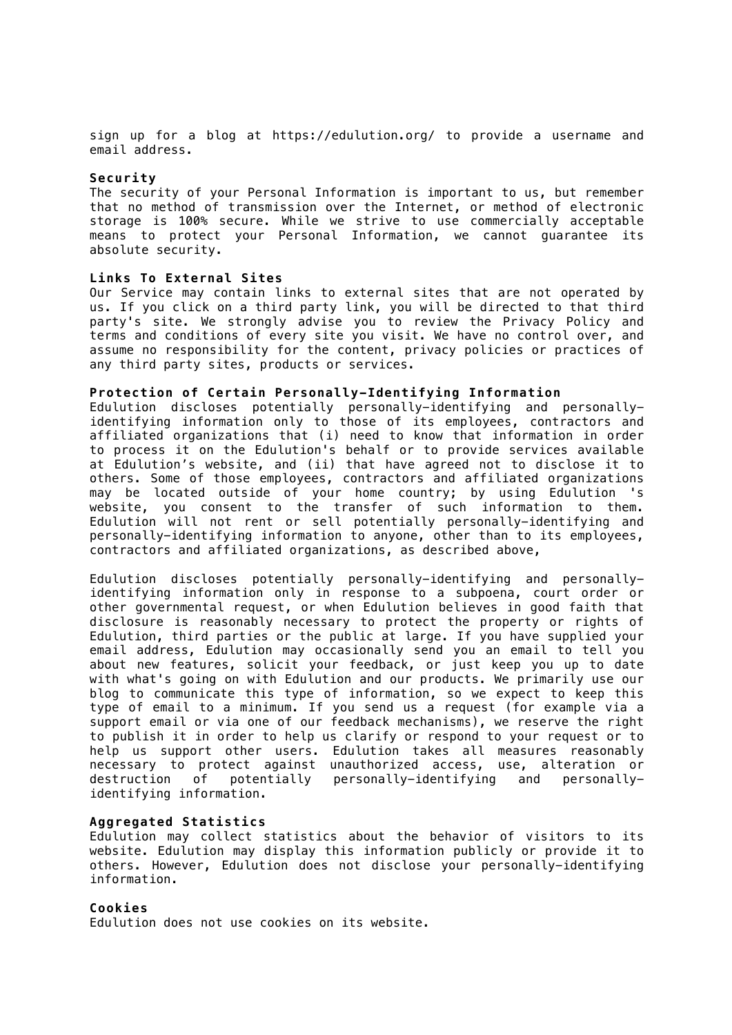sign up for a blog at https://edulution.org/ to provide a username and email address.

#### **Security**

The security of your Personal Information is important to us, but remember that no method of transmission over the Internet, or method of electronic storage is 100% secure. While we strive to use commercially acceptable means to protect your Personal Information, we cannot guarantee its absolute security.

#### **Links To External Sites**

Our Service may contain links to external sites that are not operated by us. If you click on a third party link, you will be directed to that third party's site. We strongly advise you to review the Privacy Policy and terms and conditions of every site you visit. We have no control over, and assume no responsibility for the content, privacy policies or practices of any third party sites, products or services.

## **Protection of Certain Personally-Identifying Information**

Edulution discloses potentially personally-identifying and personallyidentifying information only to those of its employees, contractors and affiliated organizations that (i) need to know that information in order to process it on the Edulution's behalf or to provide services available at Edulution's website, and (ii) that have agreed not to disclose it to others. Some of those employees, contractors and affiliated organizations may be located outside of your home country; by using Edulution 's website, you consent to the transfer of such information to them. Edulution will not rent or sell potentially personally-identifying and personally-identifying information to anyone, other than to its employees, contractors and affiliated organizations, as described above,

Edulution discloses potentially personally-identifying and personallyidentifying information only in response to a subpoena, court order or other governmental request, or when Edulution believes in good faith that disclosure is reasonably necessary to protect the property or rights of Edulution, third parties or the public at large. If you have supplied your email address, Edulution may occasionally send you an email to tell you about new features, solicit your feedback, or just keep you up to date with what's going on with Edulution and our products. We primarily use our blog to communicate this type of information, so we expect to keep this type of email to a minimum. If you send us a request (for example via a support email or via one of our feedback mechanisms), we reserve the right to publish it in order to help us clarify or respond to your request or to help us support other users. Edulution takes all measures reasonably necessary to protect against unauthorized access, use, alteration or destruction of potentially personally-identifying and personallyidentifying information.

### **Aggregated Statistics**

Edulution may collect statistics about the behavior of visitors to its website. Edulution may display this information publicly or provide it to others. However, Edulution does not disclose your personally-identifying information.

## **Cookies**

Edulution does not use cookies on its website.